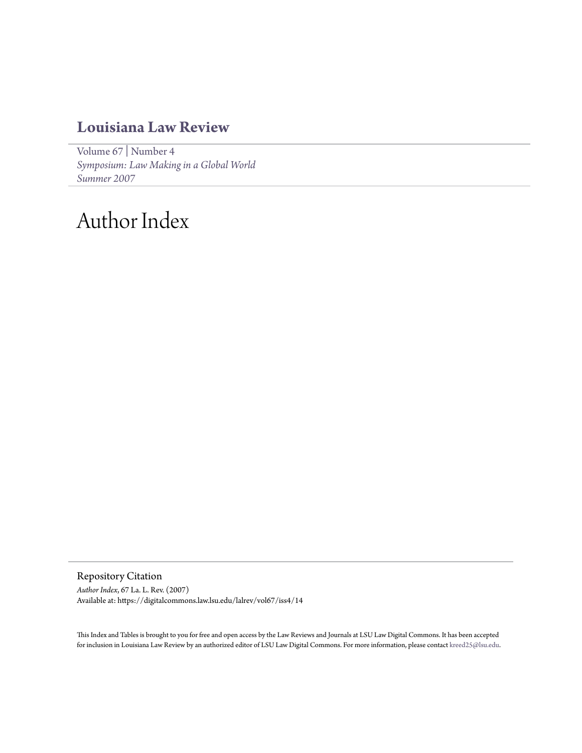# **[Louisiana Law Review](https://digitalcommons.law.lsu.edu/lalrev)**

[Volume 67](https://digitalcommons.law.lsu.edu/lalrev/vol67) | [Number 4](https://digitalcommons.law.lsu.edu/lalrev/vol67/iss4) *[Symposium: Law Making in a Global World](https://digitalcommons.law.lsu.edu/lalrev/vol67/iss4) [Summer 2007](https://digitalcommons.law.lsu.edu/lalrev/vol67/iss4)*

# Author Index

Repository Citation

*Author Index*, 67 La. L. Rev. (2007) Available at: https://digitalcommons.law.lsu.edu/lalrev/vol67/iss4/14

This Index and Tables is brought to you for free and open access by the Law Reviews and Journals at LSU Law Digital Commons. It has been accepted for inclusion in Louisiana Law Review by an authorized editor of LSU Law Digital Commons. For more information, please contact [kreed25@lsu.edu](mailto:kreed25@lsu.edu).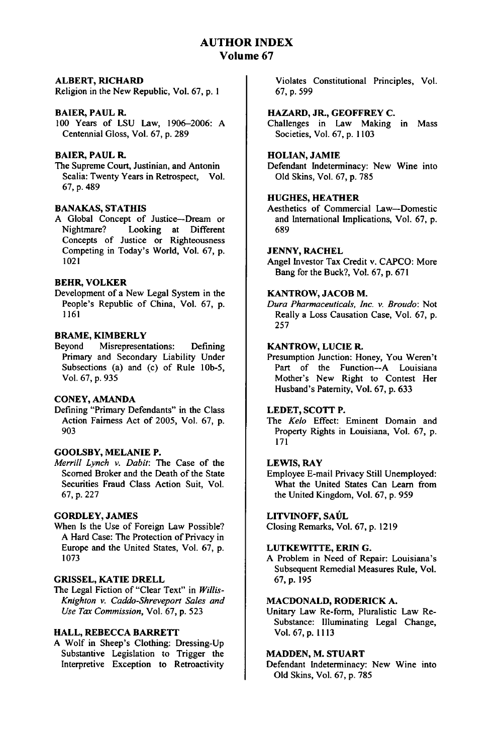# **AUTHOR INDEX Volume 67**

### **ALBERT, RICHARD**

Religion in the New Republic, Vol. **67, p. I**

# BAIER, **PAUL** R.

**100** Years of **LSU** Law, **1906-2006: A** Centennial Gloss, Vol. **67, p. 289**

# **BAIER, PAUL** R.

The Supreme Court, Justinian, and Antonin Scalia: Twenty Years in Retrospect, Vol. **67, p.** 489

# **BANAKAS, STATHIS**

**A** Global Concept of Justice-Dream or Nightmare? Looking at Different Concepts of Justice or Righteousness Competing in Today's World, Vol. 67, p. 1021

# **BEHR, VOLKER**

Development of a New Legal System in the People's Republic of China, Vol. **67, p. 1161**

#### **BRAME, KIMBERLY**

Beyond Misrepresentations: Defining Primary and Secondary Liability Under Subsections (a) and (c) of Rule **lOb-5,** Vol. 67, p. 935

# CONEY, AMANDA

Defining "Primary Defendants" in the Class Action Fairness Act of 2005, Vol. 67, p. 903

# GOOLSBY, **MELANIE** P.

*Merrill Lynch v. Dabit:* The Case of the Scorned Broker and the Death of the State Securities Fraud Class Action Suit, Vol. 67, p. 227

# GORDLEY, **JAMES**

When Is the Use of Foreign Law Possible? A Hard Case: The Protection of Privacy in Europe and the United States, Vol. 67, p. 1073

# **GRISSEL,** KATIE **DRELL**

The Legal Fiction of "Clear Text" in *Willis-Knighton v. Caddo-Shreveport Sales and Use Tax Commission,* Vol. **67, p. 523**

#### **HALL, REBECCA BARRETT**

**A** Wolf in Sheep's Clothing: Dressing-Up Substantive Legislation to Trigger the Interpretive Exception to Retroactivity Violates Constitutional Principles, Vol. **67, p.** 599

# HAZARD, **JR., GEOFFREY C.**

Challenges in Law Making in Mass Societies, Vol. 67, p. 1103

# **HOLIAN, JAMIE**

Defendant Indeterminacy: New Wine into Old Skins, Vol. 67, p. 785

# **HUGHES, HEATHER**

Aesthetics of Commercial Law-Domestic and International Implications, Vol. 67, p. 689

#### **JENNY,** RACHEL

Angel Investor Tax Credit v. **CAPCO:** More Bang for the Buck?, Vol. **67, p. 671**

# **KANTROW, JACOB M.**

*Dura Pharmaceuticals, Inc. v. Broudo:* Not Really a Loss Causation Case, Vol. 67, p. 257

# KANTROW, **LUCIE R.**

Presumption Junction: Honey, You Weren't Part of the Function-A Louisiana Mother's New Right to Contest Her Husband's Paternity, Vol. 67, p. 633

# **LEDET, SCOTT P.**

The *Kelo* Effect: Eminent Domain and Property Rights in Louisiana, Vol. **67, p. 171**

# **LEWIS, RAY**

Employee E-mail Privacy Still Unemployed: What the United States Can Learn from the United Kingdom, Vol. **67, p. 959**

#### **LITVINOFF, SAUL**

Closing Remarks, Vol. **67, p. 1219**

# **LUTKEWITTE, ERIN G.**

**A** Problem in Need of Repair: Louisiana's Subsequent Remedial Measures Rule, Vol. **67, p. 195**

# **MACDONALD, RODERICK A.**

Unitary Law Re-form, Pluralistic Law Re-Substance: Illuminating Legal Change, Vol. 67, p. 1113

# **MADDEN, M. STUART**

Defendant Indeterminacy: New Wine into Old Skins, Vol. 67, p. 785